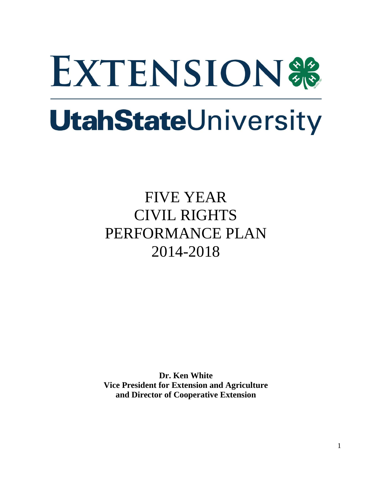# **EXTENSION® UtahStateUniversity**

# FIVE YEAR CIVIL RIGHTS PERFORMANCE PLAN 2014-2018

**Dr. Ken White Vice President for Extension and Agriculture and Director of Cooperative Extension**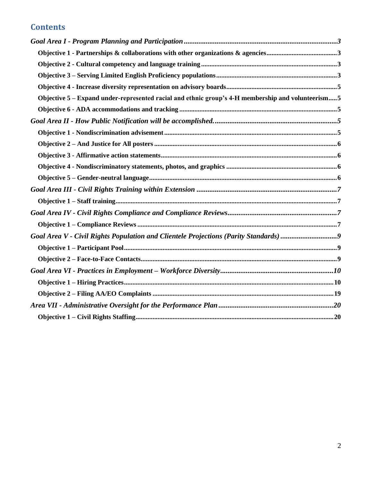# **Contents**

| Objective 5 - Expand under-represented racial and ethnic group's 4-H membership and volunteerism 5 |  |
|----------------------------------------------------------------------------------------------------|--|
|                                                                                                    |  |
|                                                                                                    |  |
|                                                                                                    |  |
|                                                                                                    |  |
|                                                                                                    |  |
|                                                                                                    |  |
|                                                                                                    |  |
|                                                                                                    |  |
|                                                                                                    |  |
|                                                                                                    |  |
|                                                                                                    |  |
| Goal Area V - Civil Rights Population and Clientele Projections (Parity Standards)                 |  |
|                                                                                                    |  |
|                                                                                                    |  |
|                                                                                                    |  |
|                                                                                                    |  |
|                                                                                                    |  |
|                                                                                                    |  |
|                                                                                                    |  |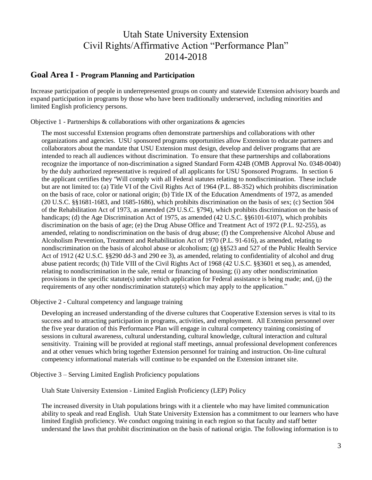# Utah State University Extension Civil Rights/Affirmative Action "Performance Plan" 2014-2018

#### <span id="page-2-0"></span>**Goal Area I - Program Planning and Participation**

Increase participation of people in underrepresented groups on county and statewide Extension advisory boards and expand participation in programs by those who have been traditionally underserved, including minorities and limited English proficiency persons.

<span id="page-2-1"></span>Objective 1 - Partnerships  $\&$  collaborations with other organizations  $\&$  agencies

The most successful Extension programs often demonstrate partnerships and collaborations with other organizations and agencies. USU sponsored programs opportunities allow Extension to educate partners and collaborators about the mandate that USU Extension must design, develop and deliver programs that are intended to reach all audiences without discrimination. To ensure that these partnerships and collaborations recognize the importance of non-discrimination a signed Standard Form 424B (OMB Approval No. 0348-0040) by the duly authorized representative is required of all applicants for USU Sponsored Programs. In section 6 the applicant certifies they "Will comply with all Federal statutes relating to nondiscrimination. These include but are not limited to: (a) Title VI of the Civil Rights Act of 1964 (P.L. 88-352) which prohibits discrimination on the basis of race, color or national origin; (b) Title IX of the Education Amendments of 1972, as amended (20 U.S.C. §§1681-1683, and 1685-1686), which prohibits discrimination on the basis of sex; (c) Section 504 of the Rehabilitation Act of 1973, as amended (29 U.S.C. §794), which prohibits discrimination on the basis of handicaps; (d) the Age Discrimination Act of 1975, as amended (42 U.S.C. §§6101-6107), which prohibits discrimination on the basis of age; (e) the Drug Abuse Office and Treatment Act of 1972 (P.L. 92-255), as amended, relating to nondiscrimination on the basis of drug abuse; (f) the Comprehensive Alcohol Abuse and Alcoholism Prevention, Treatment and Rehabilitation Act of 1970 (P.L. 91-616), as amended, relating to nondiscrimination on the basis of alcohol abuse or alcoholism; (g) §§523 and 527 of the Public Health Service Act of 1912 (42 U.S.C. §§290 dd-3 and 290 ee 3), as amended, relating to confidentiality of alcohol and drug abuse patient records; (h) Title VIII of the Civil Rights Act of 1968 (42 U.S.C. §§3601 et seq.), as amended, relating to nondiscrimination in the sale, rental or financing of housing; (i) any other nondiscrimination provisions in the specific statute(s) under which application for Federal assistance is being made; and, (j) the requirements of any other nondiscrimination statute(s) which may apply to the application."

<span id="page-2-2"></span>Objective 2 - Cultural competency and language training

Developing an increased understanding of the diverse cultures that Cooperative Extension serves is vital to its success and to attracting participation in programs, activities, and employment. All Extension personnel over the five year duration of this Performance Plan will engage in cultural competency training consisting of sessions in cultural awareness, cultural understanding, cultural knowledge, cultural interaction and cultural sensitivity. Training will be provided at regional staff meetings, annual professional development conferences and at other venues which bring together Extension personnel for training and instruction. On-line cultural competency informational materials will continue to be expanded on the Extension intranet site.

<span id="page-2-3"></span>Objective 3 – Serving Limited English Proficiency populations

Utah State University Extension - Limited English Proficiency (LEP) Policy

The increased diversity in Utah populations brings with it a clientele who may have limited communication ability to speak and read English. Utah State University Extension has a commitment to our learners who have limited English proficiency. We conduct ongoing training in each region so that faculty and staff better understand the laws that prohibit discrimination on the basis of national origin. The following information is to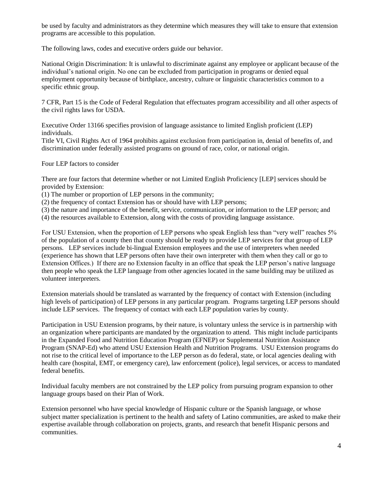be used by faculty and administrators as they determine which measures they will take to ensure that extension programs are accessible to this population.

The following laws, codes and executive orders guide our behavior.

National Origin Discrimination: It is unlawful to discriminate against any employee or applicant because of the individual's national origin. No one can be excluded from participation in programs or denied equal employment opportunity because of birthplace, ancestry, culture or linguistic characteristics common to a specific ethnic group.

7 CFR, Part 15 is the Code of Federal Regulation that effectuates program accessibility and all other aspects of the civil rights laws for USDA.

Executive Order 13166 specifies provision of language assistance to limited English proficient (LEP) individuals.

Title VI, Civil Rights Act of 1964 prohibits against exclusion from participation in, denial of benefits of, and discrimination under federally assisted programs on ground of race, color, or national origin.

Four LEP factors to consider

There are four factors that determine whether or not Limited English Proficiency [LEP] services should be provided by Extension:

(1) The number or proportion of LEP persons in the community;

(2) the frequency of contact Extension has or should have with LEP persons;

(3) the nature and importance of the benefit, service, communication, or information to the LEP person; and

(4) the resources available to Extension, along with the costs of providing language assistance.

For USU Extension, when the proportion of LEP persons who speak English less than "very well" reaches 5% of the population of a county then that county should be ready to provide LEP services for that group of LEP persons. LEP services include bi-lingual Extension employees and the use of interpreters when needed (experience has shown that LEP persons often have their own interpreter with them when they call or go to Extension Offices.) If there are no Extension faculty in an office that speak the LEP person's native language then people who speak the LEP language from other agencies located in the same building may be utilized as volunteer interpreters.

Extension materials should be translated as warranted by the frequency of contact with Extension (including high levels of participation) of LEP persons in any particular program. Programs targeting LEP persons should include LEP services. The frequency of contact with each LEP population varies by county.

Participation in USU Extension programs, by their nature, is voluntary unless the service is in partnership with an organization where participants are mandated by the organization to attend. This might include participants in the Expanded Food and Nutrition Education Program (EFNEP) or Supplemental Nutrition Assistance Program (SNAP-Ed) who attend USU Extension Health and Nutrition Programs. USU Extension programs do not rise to the critical level of importance to the LEP person as do federal, state, or local agencies dealing with health care (hospital, EMT, or emergency care), law enforcement (police), legal services, or access to mandated federal benefits.

Individual faculty members are not constrained by the LEP policy from pursuing program expansion to other language groups based on their Plan of Work.

Extension personnel who have special knowledge of Hispanic culture or the Spanish language, or whose subject matter specialization is pertinent to the health and safety of Latino communities, are asked to make their expertise available through collaboration on projects, grants, and research that benefit Hispanic persons and communities.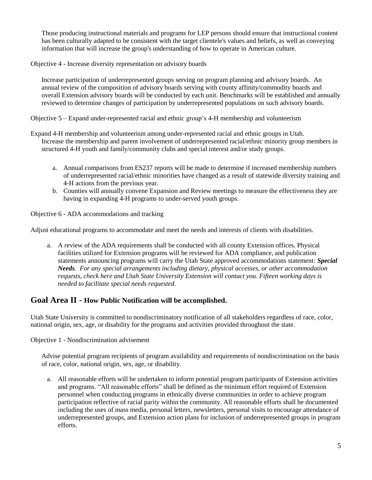Those producing instructional materials and programs for LEP persons should ensure that instructional content has been culturally adapted to be consistent with the target clientele's values and beliefs, as well as conveying information that will increase the group's understanding of how to operate in American culture.

<span id="page-4-0"></span>Objective 4 - Increase diversity representation on advisory boards

Increase participation of underrepresented groups serving on program planning and advisory boards. An annual review of the composition of advisory boards serving with county affinity/commodity boards and overall Extension advisory boards will be conducted by each unit. Benchmarks will be established and annually reviewed to determine changes of participation by underrepresented populations on such advisory boards.

<span id="page-4-1"></span>Objective 5 – Expand under-represented racial and ethnic group's 4-H membership and volunteerism

- Expand 4-H membership and volunteerism among under-represented racial and ethnic groups in Utah. Increase the membership and parent involvement of underrepresented racial/ethnic minority group members in structured 4-H youth and family/community clubs and special interest and/or study groups.
	- a. Annual comparisons from ES237 reports will be made to determine if increased membership numbers of underrepresented racial/ethnic minorities have changed as a result of statewide diversity training and 4-H actions from the previous year.
	- b. Counties will annually convene Expansion and Review meetings to measure the effectiveness they are having in expanding 4-H programs to under-served youth groups.

<span id="page-4-2"></span>Objective 6 - ADA accommodations and tracking

Adjust educational programs to accommodate and meet the needs and interests of clients with disabilities.

a. A review of the ADA requirements shall be conducted with all county Extension offices. Physical facilities utilized for Extension programs will be reviewed for ADA compliance, and publication statements announcing programs will carry the Utah State approved accommodations statement: *Special Needs. For any special arrangements including dietary, physical accesses, or other accommodation requests, check here and Utah State University Extension will contact you. Fifteen working days is needed to facilitate special needs requested.*

#### <span id="page-4-3"></span>**Goal Area II - How Public Notification will be accomplished.**

Utah State University is committed to nondiscriminatory notification of all stakeholders regardless of race, color, national origin, sex, age, or disability for the programs and activities provided throughout the state.

<span id="page-4-4"></span>Objective 1 - Nondiscrimination advisement

Advise potential program recipients of program availability and requirements of nondiscrimination on the basis of race, color, national origin, sex, age, or disability.

a. All reasonable efforts will be undertaken to inform potential program participants of Extension activities and programs. "All reasonable efforts" shall be defined as the minimum effort required of Extension personnel when conducting programs in ethnically diverse communities in order to achieve program participation reflective of racial parity within the community. All reasonable efforts shall be documented including the uses of mass media, personal letters, newsletters, personal visits to encourage attendance of underrepresented groups, and Extension action plans for inclusion of underrepresented groups in program efforts.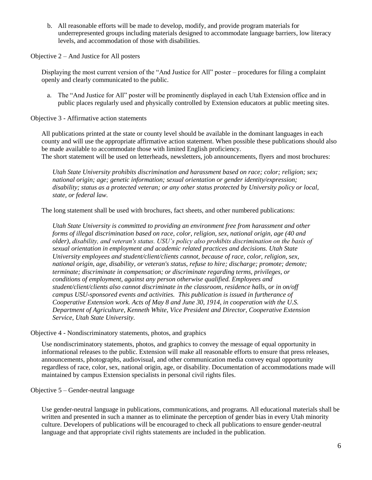b. All reasonable efforts will be made to develop, modify, and provide program materials for underrepresented groups including materials designed to accommodate language barriers, low literacy levels, and accommodation of those with disabilities.

<span id="page-5-0"></span>Objective 2 – And Justice for All posters

Displaying the most current version of the "And Justice for All" poster – procedures for filing a complaint openly and clearly communicated to the public.

a. The "And Justice for All" poster will be prominently displayed in each Utah Extension office and in public places regularly used and physically controlled by Extension educators at public meeting sites.

<span id="page-5-1"></span>Objective 3 - Affirmative action statements

*state, or federal law.*

All publications printed at the state or county level should be available in the dominant languages in each county and will use the appropriate affirmative action statement. When possible these publications should also be made available to accommodate those with limited English proficiency. The short statement will be used on letterheads, newsletters, job announcements, flyers and most brochures:

*Utah State University prohibits discrimination and harassment based on race; color; religion; sex; national origin; age; genetic information; sexual orientation or gender identity/expression; disability; status as a protected veteran; or any other status protected by University policy or local,* 

The long statement shall be used with brochures, fact sheets, and other numbered publications:

*Utah State University is committed to providing an environment free from harassment and other forms of illegal discrimination based on race, color, religion, sex, national origin, age (40 and older), disability, and veteran's status. USU's policy also prohibits discrimination on the basis of sexual orientation in employment and academic related practices and decisions. Utah State University employees and student/client/clients cannot, because of race, color, religion, sex, national origin, age, disability, or veteran's status, refuse to hire; discharge; promote; demote; terminate; discriminate in compensation; or discriminate regarding terms, privileges, or conditions of employment, against any person otherwise qualified. Employees and student/client/clients also cannot discriminate in the classroom, residence halls, or in on/off campus USU-sponsored events and activities. This publication is issued in furtherance of Cooperative Extension work. Acts of May 8 and June 30, 1914, in cooperation with the U.S. Department of Agriculture, Kenneth White, Vice President and Director, Cooperative Extension Service, Utah State University.* 

<span id="page-5-2"></span>Objective 4 - Nondiscriminatory statements, photos, and graphics

Use nondiscriminatory statements, photos, and graphics to convey the message of equal opportunity in informational releases to the public. Extension will make all reasonable efforts to ensure that press releases, announcements, photographs, audiovisual, and other communication media convey equal opportunity regardless of race, color, sex, national origin, age, or disability. Documentation of accommodations made will maintained by campus Extension specialists in personal civil rights files.

<span id="page-5-3"></span>Objective 5 – Gender-neutral language

Use gender-neutral language in publications, communications, and programs. All educational materials shall be written and presented in such a manner as to eliminate the perception of gender bias in every Utah minority culture. Developers of publications will be encouraged to check all publications to ensure gender-neutral language and that appropriate civil rights statements are included in the publication.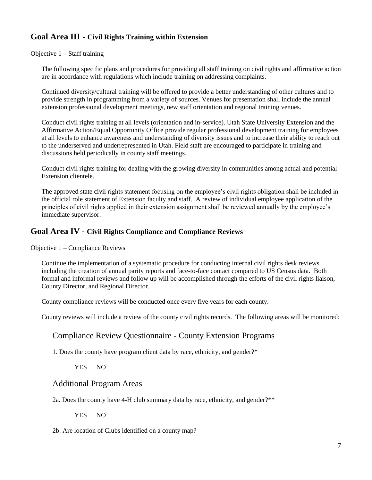# <span id="page-6-0"></span>**Goal Area III - Civil Rights Training within Extension**

<span id="page-6-1"></span>Objective  $1 -$  Staff training

The following specific plans and procedures for providing all staff training on civil rights and affirmative action are in accordance with regulations which include training on addressing complaints*.*

Continued diversity/cultural training will be offered to provide a better understanding of other cultures and to provide strength in programming from a variety of sources. Venues for presentation shall include the annual extension professional development meetings, new staff orientation and regional training venues.

Conduct civil rights training at all levels (orientation and in-service). Utah State University Extension and the Affirmative Action/Equal Opportunity Office provide regular professional development training for employees at all levels to enhance awareness and understanding of diversity issues and to increase their ability to reach out to the underserved and underrepresented in Utah. Field staff are encouraged to participate in training and discussions held periodically in county staff meetings.

Conduct civil rights training for dealing with the growing diversity in communities among actual and potential Extension clientele.

The approved state civil rights statement focusing on the employee's civil rights obligation shall be included in the official role statement of Extension faculty and staff. A review of individual employee application of the principles of civil rights applied in their extension assignment shall be reviewed annually by the employee's immediate supervisor.

# <span id="page-6-2"></span>**Goal Area IV - Civil Rights Compliance and Compliance Reviews**

<span id="page-6-3"></span>Objective 1 – Compliance Reviews

Continue the implementation of a systematic procedure for conducting internal civil rights desk reviews including the creation of annual parity reports and face-to-face contact compared to US Census data. Both formal and informal reviews and follow up will be accomplished through the efforts of the civil rights liaison, County Director, and Regional Director.

County compliance reviews will be conducted once every five years for each county.

County reviews will include a review of the county civil rights records. The following areas will be monitored:

# Compliance Review Questionnaire - County Extension Programs

1. Does the county have program client data by race, ethnicity, and gender?\*

YES NO

#### Additional Program Areas

2a. Does the county have 4-H club summary data by race, ethnicity, and gender?\*\*

YES NO

2b. Are location of Clubs identified on a county map?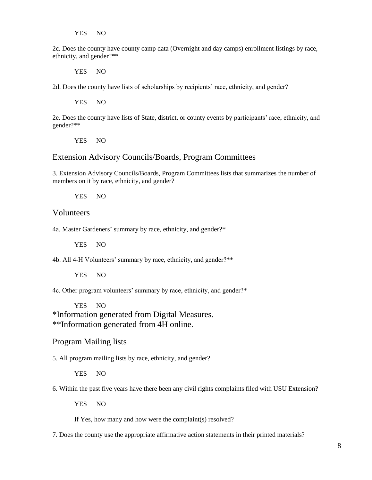YES NO

2c. Does the county have county camp data (Overnight and day camps) enrollment listings by race, ethnicity, and gender?\*\*

YES NO

2d. Does the county have lists of scholarships by recipients' race, ethnicity, and gender?

YES NO

2e. Does the county have lists of State, district, or county events by participants' race, ethnicity, and gender?\*\*

YES NO

# Extension Advisory Councils/Boards, Program Committees

3. Extension Advisory Councils/Boards, Program Committees lists that summarizes the number of members on it by race, ethnicity, and gender?

YES NO

#### Volunteers

4a. Master Gardeners' summary by race, ethnicity, and gender?\*

YES NO

4b. All 4-H Volunteers' summary by race, ethnicity, and gender?\*\*

YES NO

4c. Other program volunteers' summary by race, ethnicity, and gender?\*

YES NO \*Information generated from Digital Measures. \*\*Information generated from 4H online.

#### Program Mailing lists

5. All program mailing lists by race, ethnicity, and gender?

YES NO

6. Within the past five years have there been any civil rights complaints filed with USU Extension?

YES NO

If Yes, how many and how were the complaint(s) resolved?

7. Does the county use the appropriate affirmative action statements in their printed materials?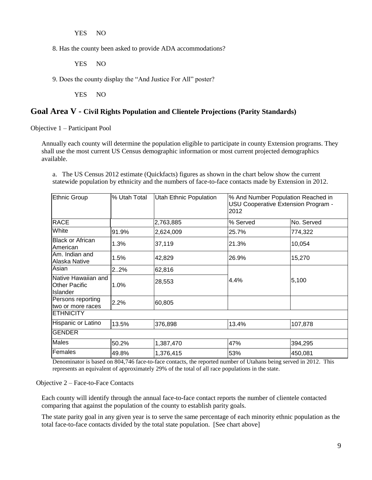YES NO

8. Has the county been asked to provide ADA accommodations?

YES NO

9. Does the county display the "And Justice For All" poster?

YES NO

#### <span id="page-8-0"></span>**Goal Area V - Civil Rights Population and Clientele Projections (Parity Standards)**

<span id="page-8-1"></span>Objective 1 – Participant Pool

Annually each county will determine the population eligible to participate in county Extension programs. They shall use the most current US Census demographic information or most current projected demographics available.

Ethnic Group % Utah Total Utah Ethnic Population % And Number Population Reached in USU Cooperative Extension Program - 2012 RACE 2,763,885 % Served No. Served White 91.9% 2,624,009 25.7% 774,322 Black or African Black of Allican 1.3% 37,119 21.3% 2013 21.3% 21.3% 21.3% Am. Indian and Alaska Native 1.5% 42,829 26.9% 15,270 Asian 2..2% 62,816 Native Hawaiian and  $\begin{bmatrix} 1.0\% \\ 1.0\% \end{bmatrix}$  28,553  $\begin{bmatrix} 4.4\% \\ 4.4\% \end{bmatrix}$  5,100 Other Pacific Islander 28.553 Persons reporting Persons reporting 2.2% 60,805 **ETHNICITY** Hispanic or Latino | 13.5% | 376,898 | 13.4% | 13.4% | 107,878 GENDER Males 50.2% 1,387,470 47% 394,295

a. The US Census 2012 estimate (Quickfacts) figures as shown in the chart below show the current statewide population by ethnicity and the numbers of face-to-face contacts made by Extension in 2012.

Denominator is based on 804,746 face-to-face contacts, the reported number of Utahans being served in 2012. This represents an equivalent of approximately 29% of the total of all race populations in the state.

Females 49.8% 1,376,415 53% 450,081

#### <span id="page-8-2"></span>Objective 2 – Face-to-Face Contacts

Each county will identify through the annual face-to-face contact reports the number of clientele contacted comparing that against the population of the county to establish parity goals.

The state parity goal in any given year is to serve the same percentage of each minority ethnic population as the total face-to-face contacts divided by the total state population. [See chart above]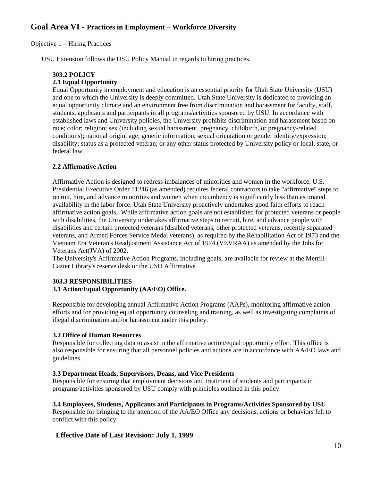# <span id="page-9-0"></span>**Goal Area VI - Practices in Employment – Workforce Diversity**

<span id="page-9-1"></span>Objective 1 – Hiring Practices

USU Extension follows the USU Policy Manual in regards to hiring practices.

#### **303.2 POLICY**

#### **2.1 Equal Opportunity**

Equal Opportunity in employment and education is an essential priority for Utah State University (USU) and one to which the University is deeply committed. Utah State University is dedicated to providing an equal opportunity climate and an environment free from discrimination and harassment for faculty, staff, students, applicants and participants in all programs/activities sponsored by USU. In accordance with established laws and University policies, the University prohibits discrimination and harassment based on race; color; religion; sex (including sexual harassment, pregnancy, childbirth, or pregnancy-related conditions); national origin; age; genetic information; sexual orientation or gender identity/expression; disability; status as a protected veteran; or any other status protected by University policy or local, state, or federal law.

#### **2.2 Affirmative Action**

Affirmative Action is designed to redress imbalances of minorities and women in the workforce. U.S. Presidential Executive Order 11246 (as amended) requires federal contractors to take "affirmative" steps to recruit, hire, and advance minorities and women when incumbency is significantly less than estimated availability in the labor force. Utah State University proactively undertakes good faith efforts to reach affirmative action goals. While affirmative action goals are not established for protected veterans or people with disabilities, the University undertakes affirmative steps to recruit, hire, and advance people with disabilities and certain protected veterans (disabled veterans, other protected veterans, recently separated veterans, and Armed Forces Service Medal veterans), as required by the Rehabilitation Act of 1973 and the Vietnam Era Veteran's Readjustment Assistance Act of 1974 (VEVRAA) as amended by the Jobs for Veterans Act(JVA) of 2002.

The University's Affirmative Action Programs, including goals, are available for review at the Merrill-Cazier Library's reserve desk or the USU Affirmative

# **303.3 RESPONSIBILITIES**

#### **3.1 Action/Equal Opportunity (AA/EO) Office.**

Responsible for developing annual Affirmative Action Programs (AAPs), monitoring affirmative action efforts and for providing equal opportunity counseling and training, as well as investigating complaints of illegal discrimination and/or harassment under this policy.

#### **3.2 Office of Human Resources**

Responsible for collecting data to assist in the affirmative action/equal opportunity effort. This office is also responsible for ensuring that all personnel policies and actions are in accordance with AA/EO laws and guidelines.

#### **3.3 Department Heads, Supervisors, Deans, and Vice Presidents**

Responsible for ensuring that employment decisions and treatment of students and participants in programs/activities sponsored by USU comply with principles outlined in this policy.

#### **3.4 Employees, Students, Applicants and Participants in Programs/Activities Sponsored by USU**

Responsible for bringing to the attention of the AA/EO Office any decisions, actions or behaviors felt to conflict with this policy.

#### **Effective Date of Last Revision: July 1, 1999**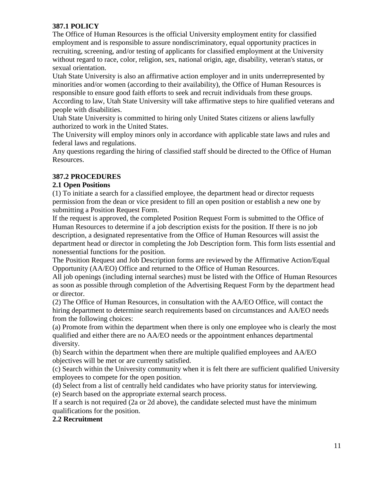#### **387.1 POLICY**

The Office of Human Resources is the official University employment entity for classified employment and is responsible to assure nondiscriminatory, equal opportunity practices in recruiting, screening, and/or testing of applicants for classified employment at the University without regard to race, color, religion, sex, national origin, age, disability, veteran's status, or sexual orientation.

Utah State University is also an affirmative action employer and in units underrepresented by minorities and/or women (according to their availability), the Office of Human Resources is responsible to ensure good faith efforts to seek and recruit individuals from these groups. According to law, Utah State University will take affirmative steps to hire qualified veterans and people with disabilities.

Utah State University is committed to hiring only United States citizens or aliens lawfully authorized to work in the United States.

The University will employ minors only in accordance with applicable state laws and rules and federal laws and regulations.

Any questions regarding the hiring of classified staff should be directed to the Office of Human Resources.

# **387.2 PROCEDURES**

#### **2.1 Open Positions**

(1) To initiate a search for a classified employee, the department head or director requests permission from the dean or vice president to fill an open position or establish a new one by submitting a Position Request Form.

If the request is approved, the completed Position Request Form is submitted to the Office of Human Resources to determine if a job description exists for the position. If there is no job description, a designated representative from the Office of Human Resources will assist the department head or director in completing the Job Description form. This form lists essential and nonessential functions for the position.

The Position Request and Job Description forms are reviewed by the Affirmative Action/Equal Opportunity (AA/EO) Office and returned to the Office of Human Resources.

All job openings (including internal searches) must be listed with the Office of Human Resources as soon as possible through completion of the Advertising Request Form by the department head or director.

(2) The Office of Human Resources, in consultation with the AA/EO Office, will contact the hiring department to determine search requirements based on circumstances and AA/EO needs from the following choices:

(a) Promote from within the department when there is only one employee who is clearly the most qualified and either there are no AA/EO needs or the appointment enhances departmental diversity.

(b) Search within the department when there are multiple qualified employees and AA/EO objectives will be met or are currently satisfied.

(c) Search within the University community when it is felt there are sufficient qualified University employees to compete for the open position.

(d) Select from a list of centrally held candidates who have priority status for interviewing.

(e) Search based on the appropriate external search process.

If a search is not required (2a or 2d above), the candidate selected must have the minimum qualifications for the position.

# **2.2 Recruitment**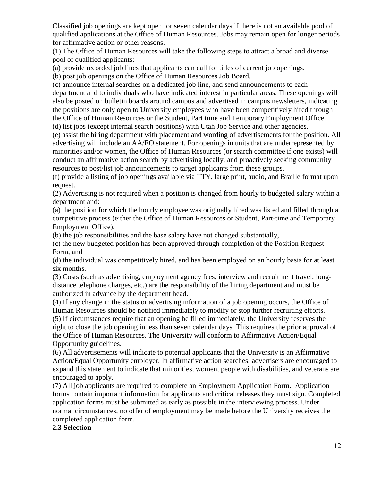Classified job openings are kept open for seven calendar days if there is not an available pool of qualified applications at the Office of Human Resources. Jobs may remain open for longer periods for affirmative action or other reasons.

(1) The Office of Human Resources will take the following steps to attract a broad and diverse pool of qualified applicants:

(a) provide recorded job lines that applicants can call for titles of current job openings.

(b) post job openings on the Office of Human Resources Job Board.

(c) announce internal searches on a dedicated job line, and send announcements to each department and to individuals who have indicated interest in particular areas. These openings will also be posted on bulletin boards around campus and advertised in campus newsletters*,* indicating the positions are only open to University employees who have been competitively hired through the Office of Human Resources or the Student, Part time and Temporary Employment Office.

(d) list jobs (except internal search positions) with Utah Job Service and other agencies. (e) assist the hiring department with placement and wording of advertisements for the position. All

advertising will include an AA/EO statement. For openings in units that are underrepresented by minorities and/or women, the Office of Human Resources (or search committee if one exists) will conduct an affirmative action search by advertising locally, and proactively seeking community resources to post/list job announcements to target applicants from these groups.

(f) provide a listing of job openings available via TTY, large print, audio, and Braille format upon request.

(2) Advertising is not required when a position is changed from hourly to budgeted salary within a department and:

(a) the position for which the hourly employee was originally hired was listed and filled through a competitive process (either the Office of Human Resources or Student, Part-time and Temporary Employment Office),

(b) the job responsibilities and the base salary have not changed substantially,

(c) the new budgeted position has been approved through completion of the Position Request Form, and

(d) the individual was competitively hired, and has been employed on an hourly basis for at least six months.

(3) Costs (such as advertising, employment agency fees, interview and recruitment travel, longdistance telephone charges, etc.) are the responsibility of the hiring department and must be authorized in advance by the department head.

(4) If any change in the status or advertising information of a job opening occurs, the Office of Human Resources should be notified immediately to modify or stop further recruiting efforts. (5) If circumstances require that an opening be filled immediately, the University reserves the right to close the job opening in less than seven calendar days. This requires the prior approval of the Office of Human Resources. The University will conform to Affirmative Action/Equal Opportunity guidelines.

(6) All advertisements will indicate to potential applicants that the University is an Affirmative Action/Equal Opportunity employer. In affirmative action searches, advertisers are encouraged to expand this statement to indicate that minorities, women, people with disabilities, and veterans are encouraged to apply.

(7) All job applicants are required to complete an Employment Application Form. Application forms contain important information for applicants and critical releases they must sign. Completed application forms must be submitted as early as possible in the interviewing process. Under normal circumstances, no offer of employment may be made before the University receives the completed application form.

#### **2.3 Selection**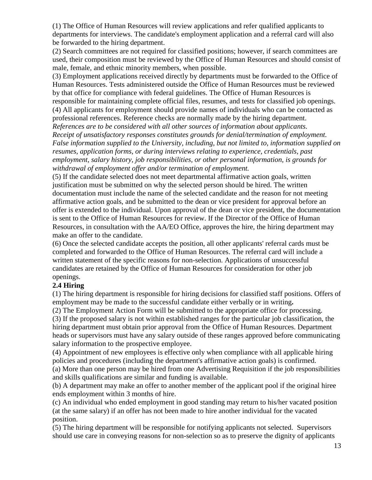(1) The Office of Human Resources will review applications and refer qualified applicants to departments for interviews. The candidate's employment application and a referral card will also be forwarded to the hiring department.

(2) Search committees are not required for classified positions; however, if search committees are used, their composition must be reviewed by the Office of Human Resources and should consist of male, female, and ethnic minority members, when possible.

(3) Employment applications received directly by departments must be forwarded to the Office of Human Resources. Tests administered outside the Office of Human Resources must be reviewed by that office for compliance with federal guidelines. The Office of Human Resources is responsible for maintaining complete official files, resumes, and tests for classified job openings. (4) All applicants for employment should provide names of individuals who can be contacted as professional references. Reference checks are normally made by the hiring department. *References are to be considered with all other sources of information about applicants. Receipt of unsatisfactory responses constitutes grounds for denial/termination of employment. False information supplied to the University, including, but not limited to, information supplied on resumes, application forms, or during interviews relating to experience, credentials, past employment, salary history, job responsibilities, or other personal information, is grounds for withdrawal of employment offer and/or termination of employment.*

(5) If the candidate selected does not meet departmental affirmative action goals, written justification must be submitted on why the selected person should be hired. The written documentation must include the name of the selected candidate and the reason for not meeting affirmative action goals, and be submitted to the dean or vice president for approval before an offer is extended to the individual. Upon approval of the dean or vice president, the documentation is sent to the Office of Human Resources for review. If the Director of the Office of Human Resources, in consultation with the AA/EO Office, approves the hire, the hiring department may make an offer to the candidate.

(6) Once the selected candidate accepts the position, all other applicants' referral cards must be completed and forwarded to the Office of Human Resources. The referral card will include a written statement of the specific reasons for non-selection. Applications of unsuccessful candidates are retained by the Office of Human Resources for consideration for other job openings.

# **2.4 Hiring**

(1) The hiring department is responsible for hiring decisions for classified staff positions. Offers of employment may be made to the successful candidate either verbally or in writing**.**

(2) The Employment Action Form will be submitted to the appropriate office for processing.

(3) If the proposed salary is not within established ranges for the particular job classification, the hiring department must obtain prior approval from the Office of Human Resources. Department heads or supervisors must have any salary outside of these ranges approved before communicating salary information to the prospective employee.

(4) Appointment of new employees is effective only when compliance with all applicable hiring policies and procedures (including the department's affirmative action goals) is confirmed.

(a) More than one person may be hired from one Advertising Requisition if the job responsibilities and skills qualifications are similar and funding is available.

(b) A department may make an offer to another member of the applicant pool if the original hiree ends employment within 3 months of hire.

(c) An individual who ended employment in good standing may return to his/her vacated position (at the same salary) if an offer has not been made to hire another individual for the vacated position.

(5) The hiring department will be responsible for notifying applicants not selected. Supervisors should use care in conveying reasons for non-selection so as to preserve the dignity of applicants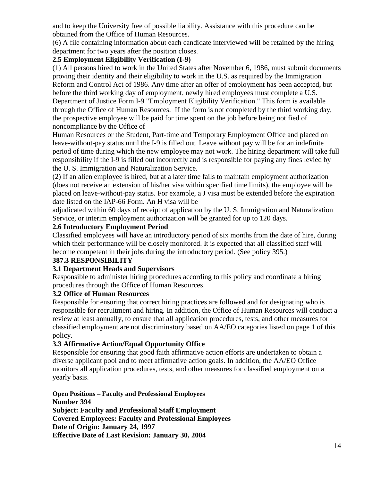and to keep the University free of possible liability. Assistance with this procedure can be obtained from the Office of Human Resources.

(6) A file containing information about each candidate interviewed will be retained by the hiring department for two years after the position closes.

# **2.5 Employment Eligibility Verification (I-9)**

(1) All persons hired to work in the United States after November 6, 1986, must submit documents proving their identity and their eligibility to work in the U.S. as required by the Immigration Reform and Control Act of 1986. Any time after an offer of employment has been accepted, but before the third working day of employment, newly hired employees must complete a U.S. Department of Justice Form I-9 "Employment Eligibility Verification." This form is available through the Office of Human Resources. If the form is not completed by the third working day, the prospective employee will be paid for time spent on the job before being notified of noncompliance by the Office of

Human Resources or the Student, Part-time and Temporary Employment Office and placed on leave-without-pay status until the I-9 is filled out. Leave without pay will be for an indefinite period of time during which the new employee may not work. The hiring department will take full responsibility if the I-9 is filled out incorrectly and is responsible for paying any fines levied by the U. S. Immigration and Naturalization Service.

(2) If an alien employee is hired, but at a later time fails to maintain employment authorization (does not receive an extension of his/her visa within specified time limits), the employee will be placed on leave-without-pay status. For example, a J visa must be extended before the expiration date listed on the IAP-66 Form. An H visa will be

adjudicated within 60 days of receipt of application by the U. S. Immigration and Naturalization Service, or interim employment authorization will be granted for up to 120 days.

#### **2.6 Introductory Employment Period**

Classified employees will have an introductory period of six months from the date of hire, during which their performance will be closely monitored. It is expected that all classified staff will become competent in their jobs during the introductory period. (See policy 395.)

# **387.3 RESPONSIBILITY**

# **3.1 Department Heads and Supervisors**

Responsible to administer hiring procedures according to this policy and coordinate a hiring procedures through the Office of Human Resources.

#### **3.2 Office of Human Resources**

Responsible for ensuring that correct hiring practices are followed and for designating who is responsible for recruitment and hiring. In addition, the Office of Human Resources will conduct a review at least annually, to ensure that all application procedures, tests, and other measures for classified employment are not discriminatory based on AA/EO categories listed on page 1 of this policy.

# **3.3 Affirmative Action/Equal Opportunity Office**

Responsible for ensuring that good faith affirmative action efforts are undertaken to obtain a diverse applicant pool and to meet affirmative action goals. In addition, the AA/EO Office monitors all application procedures, tests, and other measures for classified employment on a yearly basis.

**Open Positions – Faculty and Professional Employees Number 394 Subject: Faculty and Professional Staff Employment Covered Employees: Faculty and Professional Employees Date of Origin: January 24, 1997 Effective Date of Last Revision: January 30, 2004**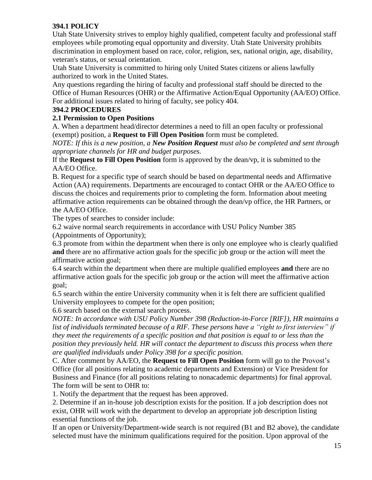#### **394.1 POLICY**

Utah State University strives to employ highly qualified, competent faculty and professional staff employees while promoting equal opportunity and diversity. Utah State University prohibits discrimination in employment based on race, color, religion, sex, national origin, age, disability, veteran's status, or sexual orientation.

Utah State University is committed to hiring only United States citizens or aliens lawfully authorized to work in the United States.

Any questions regarding the hiring of faculty and professional staff should be directed to the Office of Human Resources (OHR) or the Affirmative Action/Equal Opportunity (AA/EO) Office. For additional issues related to hiring of faculty, see policy 404.

#### **394.2 PROCEDURES**

# **2.1 Permission to Open Positions**

A. When a department head/director determines a need to fill an open faculty or professional (exempt) position, a **Request to Fill Open Position** form must be completed.

*NOTE: If this is a new position, a New Position Request must also be completed and sent through appropriate channels for HR and budget purposes.*

If the **Request to Fill Open Position** form is approved by the dean/vp, it is submitted to the AA/EO Office.

B. Request for a specific type of search should be based on departmental needs and Affirmative Action (AA) requirements. Departments are encouraged to contact OHR or the AA/EO Office to discuss the choices and requirements prior to completing the form. Information about meeting affirmative action requirements can be obtained through the dean/vp office, the HR Partners, or the AA/EO Office.

The types of searches to consider include:

6.2 waive normal search requirements in accordance with USU Policy Number 385 (Appointments of Opportunity);

6.3 promote from within the department when there is only one employee who is clearly qualified **and** there are no affirmative action goals for the specific job group or the action will meet the affirmative action goal;

6.4 search within the department when there are multiple qualified employees **and** there are no affirmative action goals for the specific job group or the action will meet the affirmative action goal;

6.5 search within the entire University community when it is felt there are sufficient qualified University employees to compete for the open position;

6.6 search based on the external search process.

*NOTE: In accordance with USU Policy Number 398 (Reduction-in-Force [RIF]), HR maintains a list of individuals terminated because of a RIF. These persons have a "right to first interview" if they meet the requirements of a specific position and that position is equal to or less than the position they previously held. HR will contact the department to discuss this process when there are qualified individuals under Policy 398 for a specific position.*

C. After comment by AA/EO, the **Request to Fill Open Position** form will go to the Provost's Office (for all positions relating to academic departments and Extension) or Vice President for Business and Finance (for all positions relating to nonacademic departments) for final approval. The form will be sent to OHR to:

1. Notify the department that the request has been approved.

2. Determine if an in-house job description exists for the position. If a job description does not exist, OHR will work with the department to develop an appropriate job description listing essential functions of the job.

If an open or University/Department-wide search is not required (B1 and B2 above), the candidate selected must have the minimum qualifications required for the position. Upon approval of the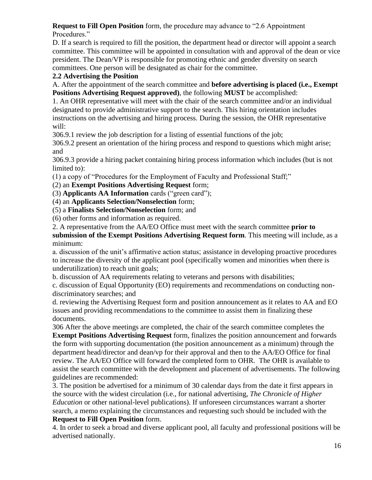# **Request to Fill Open Position** form, the procedure may advance to "2.6 Appointment

Procedures."

D. If a search is required to fill the position, the department head or director will appoint a search committee. This committee will be appointed in consultation with and approval of the dean or vice president. The Dean/VP is responsible for promoting ethnic and gender diversity on search committees. One person will be designated as chair for the committee.

# **2.2 Advertising the Position**

A. After the appointment of the search committee and **before advertising is placed (i.e., Exempt Positions Advertising Request approved)**, the following **MUST** be accomplished:

1. An OHR representative will meet with the chair of the search committee and/or an individual designated to provide administrative support to the search. This hiring orientation includes instructions on the advertising and hiring process. During the session, the OHR representative will:

306.9.1 review the job description for a listing of essential functions of the job;

306.9.2 present an orientation of the hiring process and respond to questions which might arise; and

306.9.3 provide a hiring packet containing hiring process information which includes (but is not limited to):

(1) a copy of "Procedures for the Employment of Faculty and Professional Staff;"

(2) an **Exempt Positions Advertising Request** form;

(3) **Applicants AA Information** cards ("green card");

(4) an **Applicants Selection/Nonselection** form;

(5) a **Finalists Selection/Nonselection** form; and

(6) other forms and information as required.

2. A representative from the AA/EO Office must meet with the search committee **prior to** 

**submission of the Exempt Positions Advertising Request form**. This meeting will include, as a minimum:

a. discussion of the unit's affirmative action status; assistance in developing proactive procedures to increase the diversity of the applicant pool (specifically women and minorities when there is underutilization) to reach unit goals;

b. discussion of AA requirements relating to veterans and persons with disabilities;

c. discussion of Equal Opportunity (EO) requirements and recommendations on conducting nondiscriminatory searches; and

d. reviewing the Advertising Request form and position announcement as it relates to AA and EO issues and providing recommendations to the committee to assist them in finalizing these documents.

306 After the above meetings are completed, the chair of the search committee completes the **Exempt Positions Advertising Request** form, finalizes the position announcement and forwards the form with supporting documentation (the position announcement as a minimum) through the department head/director and dean/vp for their approval and then to the AA/EO Office for final review. The AA/EO Office will forward the completed form to OHR. The OHR is available to assist the search committee with the development and placement of advertisements. The following guidelines are recommended:

3. The position be advertised for a minimum of 30 calendar days from the date it first appears in the source with the widest circulation (i.e., for national advertising, *The Chronicle of Higher Education* or other national-level publications). If unforeseen circumstances warrant a shorter search, a memo explaining the circumstances and requesting such should be included with the **Request to Fill Open Position** form.

4. In order to seek a broad and diverse applicant pool, all faculty and professional positions will be advertised nationally.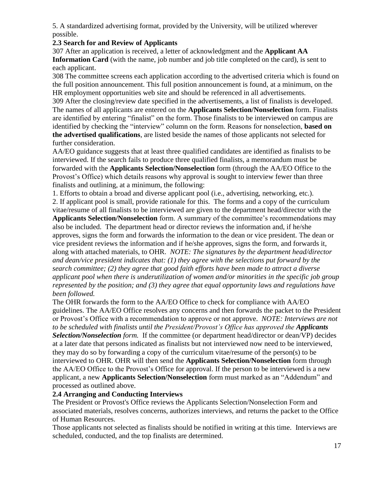5. A standardized advertising format, provided by the University, will be utilized wherever possible.

#### **2.3 Search for and Review of Applicants**

307 After an application is received, a letter of acknowledgment and the **Applicant AA Information Card** (with the name, job number and job title completed on the card), is sent to each applicant.

308 The committee screens each application according to the advertised criteria which is found on the full position announcement. This full position announcement is found, at a minimum, on the HR employment opportunities web site and should be referenced in all advertisements.

309 After the closing/review date specified in the advertisements, a list of finalists is developed. The names of all applicants are entered on the **Applicants Selection/Nonselection** form. Finalists are identified by entering "finalist" on the form. Those finalists to be interviewed on campus are identified by checking the "interview" column on the form. Reasons for nonselection, **based on the advertised qualifications**, are listed beside the names of those applicants not selected for further consideration.

AA/EO guidance suggests that at least three qualified candidates are identified as finalists to be interviewed. If the search fails to produce three qualified finalists, a memorandum must be forwarded with the **Applicants Selection/Nonselection** form (through the AA/EO Office to the Provost's Office) which details reasons why approval is sought to interview fewer than three finalists and outlining, at a minimum, the following:

1. Efforts to obtain a broad and diverse applicant pool (i.e., advertising, networking, etc.).

2. If applicant pool is small, provide rationale for this. The forms and a copy of the curriculum vitae/resume of all finalists to be interviewed are given to the department head/director with the

**Applicants Selection/Nonselection** form. A summary of the committee's recommendations may also be included. The department head or director reviews the information and, if he/she approves, signs the form and forwards the information to the dean or vice president. The dean or vice president reviews the information and if he/she approves, signs the form, and forwards it, along with attached materials, to OHR. *NOTE: The signatures by the department head/director and dean/vice president indicates that: (1) they agree with the selections put forward by the search committee; (2) they agree that good faith efforts have been made to attract a diverse applicant pool when there is underutilization of women and/or minorities in the specific job group represented by the position; and (3) they agree that equal opportunity laws and regulations have been followed.*

The OHR forwards the form to the AA/EO Office to check for compliance with AA/EO guidelines. The AA/EO Office resolves any concerns and then forwards the packet to the President or Provost's Office with a recommendation to approve or not approve. *NOTE: Interviews are not to be scheduled with finalists until the President/Provost's Office has approved the Applicants Selection/Nonselection form.* If the committee (or department head/director or dean/VP) decides at a later date that persons indicated as finalists but not interviewed now need to be interviewed, they may do so by forwarding a copy of the curriculum vitae/resume of the person(s) to be interviewed to OHR. OHR will then send the **Applicants Selection/Nonselection** form through the AA/EO Office to the Provost's Office for approval. If the person to be interviewed is a new applicant, a new **Applicants Selection/Nonselection** form must marked as an "Addendum" and processed as outlined above.

# **2.4 Arranging and Conducting Interviews**

The President or Provost's Office reviews the Applicants Selection/Nonselection Form and associated materials, resolves concerns, authorizes interviews, and returns the packet to the Office of Human Resources.

Those applicants not selected as finalists should be notified in writing at this time. Interviews are scheduled, conducted, and the top finalists are determined.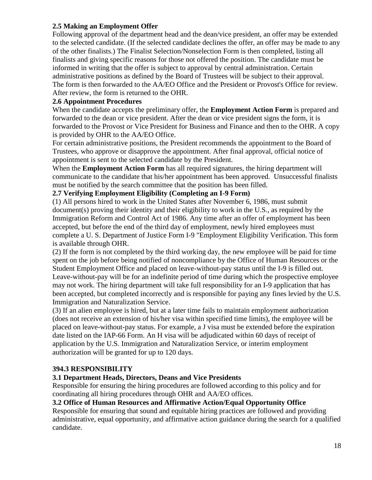#### **2.5 Making an Employment Offer**

Following approval of the department head and the dean/vice president, an offer may be extended to the selected candidate. (If the selected candidate declines the offer, an offer may be made to any of the other finalists.) The Finalist Selection/Nonselection Form is then completed, listing all finalists and giving specific reasons for those not offered the position. The candidate must be informed in writing that the offer is subject to approval by central administration. Certain administrative positions as defined by the Board of Trustees will be subject to their approval. The form is then forwarded to the AA/EO Office and the President or Provost's Office for review. After review, the form is returned to the OHR.

#### **2.6 Appointment Procedures**

When the candidate accepts the preliminary offer, the **Employment Action Form** is prepared and forwarded to the dean or vice president. After the dean or vice president signs the form, it is forwarded to the Provost or Vice President for Business and Finance and then to the OHR. A copy is provided by OHR to the AA/EO Office.

For certain administrative positions, the President recommends the appointment to the Board of Trustees, who approve or disapprove the appointment. After final approval, official notice of appointment is sent to the selected candidate by the President.

When the **Employment Action Form** has all required signatures, the hiring department will communicate to the candidate that his/her appointment has been approved. Unsuccessful finalists must be notified by the search committee that the position has been filled.

#### **2.7 Verifying Employment Eligibility (Completing an I-9 Form)**

(1) All persons hired to work in the United States after November 6, 1986, must submit document(s) proving their identity and their eligibility to work in the U.S., as required by the Immigration Reform and Control Act of 1986. Any time after an offer of employment has been accepted, but before the end of the third day of employment, newly hired employees must complete a U. S. Department of Justice Form I-9 "Employment Eligibility Verification. This form is available through OHR.

(2) If the form is not completed by the third working day, the new employee will be paid for time spent on the job before being notified of noncompliance by the Office of Human Resources or the Student Employment Office and placed on leave-without-pay status until the I-9 is filled out. Leave-without-pay will be for an indefinite period of time during which the prospective employee may not work. The hiring department will take full responsibility for an I-9 application that has been accepted, but completed incorrectly and is responsible for paying any fines levied by the U.S. Immigration and Naturalization Service.

(3) If an alien employee is hired, but at a later time fails to maintain employment authorization (does not receive an extension of his/her visa within specified time limits), the employee will be placed on leave-without-pay status. For example, a J visa must be extended before the expiration date listed on the IAP-66 Form. An H visa will be adjudicated within 60 days of receipt of application by the U.S. Immigration and Naturalization Service, or interim employment authorization will be granted for up to 120 days.

#### **394.3 RESPONSIBILITY**

#### **3.1 Department Heads, Directors, Deans and Vice Presidents**

Responsible for ensuring the hiring procedures are followed according to this policy and for coordinating all hiring procedures through OHR and AA/EO offices.

#### **3.2 Office of Human Resources and Affirmative Action/Equal Opportunity Office**

Responsible for ensuring that sound and equitable hiring practices are followed and providing administrative, equal opportunity, and affirmative action guidance during the search for a qualified candidate.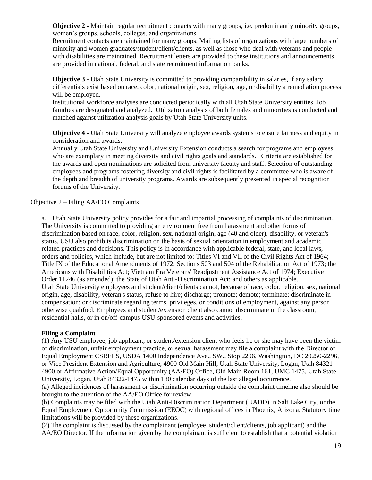**Objective 2 -** Maintain regular recruitment contacts with many groups, i.e. predominantly minority groups, women's groups, schools, colleges, and organizations.

Recruitment contacts are maintained for many groups. Mailing lists of organizations with large numbers of minority and women graduates/student/client/clients, as well as those who deal with veterans and people with disabilities are maintained. Recruitment letters are provided to these institutions and announcements are provided in national, federal, and state recruitment information banks.

**Objective 3 -** Utah State University is committed to providing comparability in salaries, if any salary differentials exist based on race, color, national origin, sex, religion, age, or disability a remediation process will be employed.

Institutional workforce analyses are conducted periodically with all Utah State University entities. Job families are designated and analyzed. Utilization analysis of both females and minorities is conducted and matched against utilization analysis goals by Utah State University units.

**Objective 4 -** Utah State University will analyze employee awards systems to ensure fairness and equity in consideration and awards.

Annually Utah State University and University Extension conducts a search for programs and employees who are exemplary in meeting diversity and civil rights goals and standards. Criteria are established for the awards and open nominations are solicited from university faculty and staff. Selection of outstanding employees and programs fostering diversity and civil rights is facilitated by a committee who is aware of the depth and breadth of university programs. Awards are subsequently presented in special recognition forums of the University.

#### <span id="page-18-0"></span>Objective 2 – Filing AA/EO Complaints

a. Utah State University policy provides for a fair and impartial processing of complaints of discrimination. The University is committed to providing an environment free from harassment and other forms of discrimination based on race, color, religion, sex, national origin, age (40 and older), disability, or veteran's status. USU also prohibits discrimination on the basis of sexual orientation in employment and academic related practices and decisions. This policy is in accordance with applicable federal, state, and local laws, orders and policies, which include, but are not limited to: Titles VI and VII of the Civil Rights Act of 1964; Title IX of the Educational Amendments of 1972; Sections 503 and 504 of the Rehabilitation Act of 1973; the Americans with Disabilities Act; Vietnam Era Veterans' Readjustment Assistance Act of 1974; Executive Order 11246 (as amended); the State of Utah Anti-Discrimination Act; and others as applicable. Utah State University employees and student/client/clients cannot, because of race, color, religion, sex, national origin, age, disability, veteran's status, refuse to hire; discharge; promote; demote; terminate; discriminate in compensation; or discriminate regarding terms, privileges, or conditions of employment*,* against any person otherwise qualified. Employees and student/extension client also cannot discriminate in the classroom, residential halls, or in on/off-campus USU-sponsored events and activities.

#### **Filing a Complaint**

(1) Any USU employee, job applicant, or student/extension client who feels he or she may have been the victim of discrimination, unfair employment practice, or sexual harassment may file a complaint with the Director of Equal Employment CSREES, USDA 1400 Independence Ave., SW., Stop 2296, Washington, DC 20250-2296, or Vice President Extension and Agriculture, 4900 Old Main Hill, Utah State University, Logan, Utah 84321- 4900 or Affirmative Action/Equal Opportunity (AA/EO) Office, Old Main Room 161, UMC 1475, Utah State University, Logan, Utah 84322-1475 within 180 calendar days of the last alleged occurrence.

(a) Alleged incidences of harassment or discrimination occurring outside the complaint timeline also should be brought to the attention of the AA/EO Office for review.

(b) Complaints may be filed with the Utah Anti-Discrimination Department (UADD) in Salt Lake City, or the Equal Employment Opportunity Commission (EEOC) with regional offices in Phoenix, Arizona. Statutory time limitations will be provided by these organizations.

(2) The complaint is discussed by the complainant (employee, student/client/clients, job applicant) and the AA/EO Director. If the information given by the complainant is sufficient to establish that a potential violation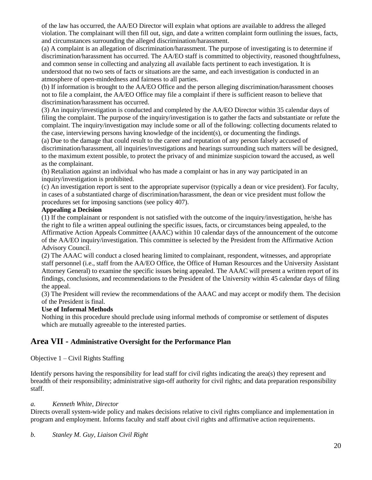of the law has occurred, the AA/EO Director will explain what options are available to address the alleged violation. The complainant will then fill out, sign, and date a written complaint form outlining the issues, facts, and circumstances surrounding the alleged discrimination/harassment.

(a) A complaint is an allegation of discrimination/harassment. The purpose of investigating is to determine if discrimination/harassment has occurred. The AA/EO staff is committed to objectivity, reasoned thoughtfulness, and common sense in collecting and analyzing all available facts pertinent to each investigation. It is understood that no two sets of facts or situations are the same, and each investigation is conducted in an atmosphere of open-mindedness and fairness to all parties.

(b) If information is brought to the AA/EO Office and the person alleging discrimination/harassment chooses not to file a complaint, the AA/EO Office may file a complaint if there is sufficient reason to believe that discrimination/harassment has occurred.

(3) An inquiry/investigation is conducted and completed by the AA/EO Director within 35 calendar days of filing the complaint. The purpose of the inquiry/investigation is to gather the facts and substantiate or refute the complaint. The inquiry/investigation may include some or all of the following: collecting documents related to the case, interviewing persons having knowledge of the incident(s), or documenting the findings.

(a) Due to the damage that could result to the career and reputation of any person falsely accused of discrimination/harassment, all inquiries/investigations and hearings surrounding such matters will be designed, to the maximum extent possible, to protect the privacy of and minimize suspicion toward the accused, as well as the complainant.

(b) Retaliation against an individual who has made a complaint or has in any way participated in an inquiry/investigation is prohibited.

(c) An investigation report is sent to the appropriate supervisor (typically a dean or vice president). For faculty, in cases of a substantiated charge of discrimination/harassment, the dean or vice president must follow the procedures set for imposing sanctions (see policy 407).

#### **Appealing a Decision**

(1) If the complainant or respondent is not satisfied with the outcome of the inquiry/investigation, he/she has the right to file a written appeal outlining the specific issues, facts, or circumstances being appealed, to the Affirmative Action Appeals Committee (AAAC) within 10 calendar days of the announcement of the outcome of the AA/EO inquiry/investigation. This committee is selected by the President from the Affirmative Action Advisory Council.

(2) The AAAC will conduct a closed hearing limited to complainant, respondent, witnesses, and appropriate staff personnel (i.e., staff from the AA/EO Office, the Office of Human Resources and the University Assistant Attorney General) to examine the specific issues being appealed. The AAAC will present a written report of its findings, conclusions, and recommendations to the President of the University within 45 calendar days of filing the appeal.

(3) The President will review the recommendations of the AAAC and may accept or modify them. The decision of the President is final.

#### **Use of Informal Methods**

Nothing in this procedure should preclude using informal methods of compromise or settlement of disputes which are mutually agreeable to the interested parties.

# <span id="page-19-0"></span>**Area VII - Administrative Oversight for the Performance Plan**

<span id="page-19-1"></span>Objective  $1 -$ Civil Rights Staffing

Identify persons having the responsibility for lead staff for civil rights indicating the area(s) they represent and breadth of their responsibility; administrative sign-off authority for civil rights; and data preparation responsibility staff.

#### *a. Kenneth White, Director*

Directs overall system-wide policy and makes decisions relative to civil rights compliance and implementation in program and employment. Informs faculty and staff about civil rights and affirmative action requirements.